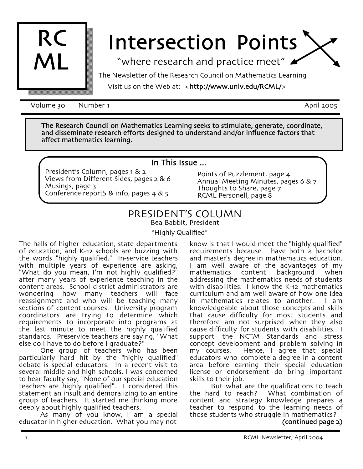

# Intersection Points

"where research and practice meet"

The Newsletter of the Research Council on Mathematics Learning

Visit us on the Web at: <http://www.unlv.edu/RCML/>

Volume 30 Number 1 April 2005

The Research Council on Mathematics Learning seeks to stimulate, generate, coordinate, and disseminate research efforts designed to understand and/or influence factors that affect mathematics learning.

#### In This Issue ...

President's Column, pages 1 & 2 Views from Different Sides, pages 2 & 6 Musings, page 3 Conference reportS & info, pages 4 & 5

Points of Puzzlement, page 4 Annual Meeting Minutes, pages 6 & 7 Thoughts to Share, page 7 RCML Personell, page 8

# PRESIDENT'S COLUMN

Bea Babbit, President

"Highly Qualified"

The halls of higher education, state departments of education, and K-12 schools are buzzing with the words "highly qualified." In-service teachers with multiple years of experience are asking, "What do you mean, I'm not highly qualified?" after many years of experience teaching in the content areas. School district administrators are wondering how many teachers will face reassignment and who will be teaching many sections of content courses. University program coordinators are trying to determine which requirements to incorporate into programs at the last minute to meet the highly qualified standards. Preservice teachers are saying, "What else do I have to do before I graduate?"

One group of teachers who has been particularly hard hit by the "highly qualified"<br>debate is special educators. In a recent visit to several middle and high schools, I was concerned to hear faculty say, "None of our special education teachers are highly qualified". I considered this statement an insult and demoralizing to an entire group of teachers. It started me thinking more<br>deeply about highly qualified teachers. deeply about highly qualified teachers. As many of you know, I am a special

educator in higher education. What you may not

know is that I would meet the "highly qualified" requirements because I have both a bachelor and master's degree in mathematics education. I am well aware of the advantages of my<br>mathematics content background when mathematics content background when addressing the mathematics needs of students with disabilities. I know the K-12 mathematics curriculum and am well aware of how one idea in mathematics relates to another. I am knowledgeable about those concepts and skills that cause difficulty for most students and therefore am not surprised when they also cause difficulty for students with disabilities. I support the NCTM Standards and stress concept development and problem solving in my courses. Hence, I agree that special educators who complete a degree in a content area before earning their special education license or endorsement do bring important

skills to their job.<br>But what are the qualifications to teach the hard to reach? What combination of content and strategy knowledge prepares a teacher to respond to the learning needs of those students who struggle in mathematics?

(continued page 2)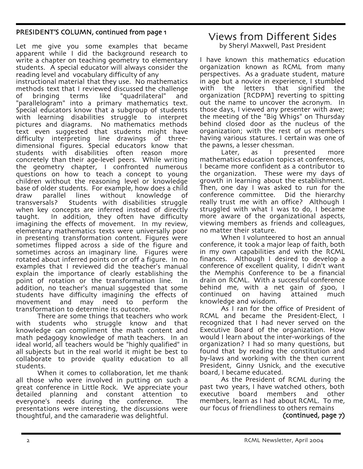#### PRESIDENT'S COLUMN, continued from page 1

Let me give you some examples that became apparent while I did the background research to write a chapter on teaching geometry to elementary students. A special educator will always consider the reading level and vocabulary difficulty of any instructional material that they use. No mathematics methods text that I reviewed discussed the challenge<br>of bringing terms like "guadrilateral" and of bringing terms like "quadrilateral" and "parallelogram" into a primary mathematics text. Special educators know that a subgroup of students with learning disabilities struggle to interpret pictures and diagrams. No mathematics methods text even suggested that students might have difficulty interpreting line drawings of threedimensional figures. Special educators know that students with disabilities often reason more concretely than their age-level peers. While writing the geometry chapter, I confronted numerous questions on how to teach a concept to young children without the reasoning level or knowledge base of older students. For example, how does a child draw parallel lines without knowledge<br>transversals? Students with disabilities stru Students with disabilities struggle when key concepts are inferred instead of directly taught. In addition, they often have difficulty imagining the effects of movement. In my review, elementary mathematics texts were universally poor in presenting transformation content. Figures were sometimes flipped across a side of the figure and sometimes across an imaginary line. Figures were rotated about inferred points on or off a figure. In no examples that I reviewed did the teacher's manual explain the importance of clearly establishing the point of rotation or the transformation line. In addition, no teacher's manual suggested that some students have difficulty imagining the effects of movement and may need to perform the transformation to determine its outcome.

There are some things that teachers who work with students who struggle know and that knowledge can compliment the math content and math pedagogy knowledge of math teachers. In an ideal world, all teachers would be "highly qualified" in all subjects but in the real world it might be best to collaborate to provide quality education to all students.

When it comes to collaboration, let me thank all those who were involved in putting on such a great conference in Little Rock. We appreciate your detailed planning and constant attention to everyone's needs during the conference. The presentations were interesting, the discussions were thoughtful, and the camaraderie was delightful.

# Views from Different Sides

by Sheryl Maxwell, Past President

I have known this mathematics education organization known as RCML from many perspectives. As a graduate student, mature in age but a novice in experience, I stumbled<br>with the letters that signified the with the letters that signified the organization [RCDPM] reverting to spitting out the name to uncover the acronym. In those days, I viewed any presenter with awe; the meeting of the "Big Whigs" on Thursday behind closed door as the nucleus of the organization; with the rest of us members having various statures. I certain was one of the pawns, a lesser chessman.

Later, as I presented more mathematics education topics at conferences, I became more confident as a contributor to the organization. These were my days of growth in learning about the establishment. Then, one day I was asked to run for the conference committee. Did the hierarchy really trust me with an office? Although I struggled with what I was to do, I became more aware of the organizational aspects, viewing members as friends and colleagues, no matter their stature.

When I volunteered to host an annual conference, it took a major leap of faith, both in my own capabilities and with the RCML finances. Although I desired to develop a conference of excellent quality, I didn't want the Memphis Conference to be a financial drain on RCML. With a successful conference behind me, with a net gain of \$300, I continued on having attained much knowledge and wisdom.

As I ran for the office of President of RCML and became the President-Elect, I recognized that I had never served on the Executive Board of the organization. How would I learn about the inter-workings of the organization? I had so many questions, but found that by reading the constitution and by-laws and working with the then current President, Ginny Usnick, and the executive board, I became educated.

As the President of RCML during the past two years, I have watched others, both executive board members and other members, learn as I had about RCML. To me, our focus of friendliness to others remains

(continued, page 7)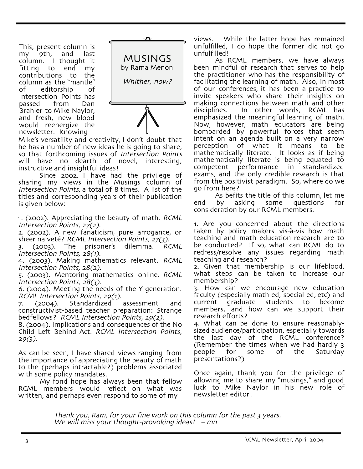This, present column is my 9th, and last column. I thought it fitting to end my contributions to the column as the "mantle"<br>of editorship of Intersection Points has passed from Dan<br>Brahier to Mike Naylor, and fresh, new blood would reenergize the newsletter. Knowing



Mike's versatility and creativity, I don't doubt that he has a number of new ideas he is going to share, so that forthcoming issues of Intersection Points will have no dearth of novel, interesting, instructive and insightful ideas!

Since 2002, I have had the privilege of sharing my views in the Musings column of Intersection Points, a total of 8 times. A list of the titles and corresponding years of their publication is given below:

1. (2002). Appreciating the beauty of math. RCML Intersection Points, 27(2).

2. (2002). A new fanaticism, pure arrogance, or sheer naiveté? RCML Intersection Points, 27(3).

 $(2003)$ . The prisoner's dilemma. RCML Intersection Points, 28(1).

4. (2003). Making mathematics relevant. RCML Intersection Points, 28(2).

5. (2003). Mentoring mathematics online. RCML Intersection Points, 28(3).

6. (2004). Meeting the needs of the Y generation. RCML Intersection Points, 29(1).

7. (2004). Standardized assessment and constructivist-based teacher preparation: Strange bedfellows? RCML Intersection Points, 29(2).

8. (2004). Implications and consequences of the No Child Left Behind Act. RCML Intersection Points,  $29(3)$ .

As can be seen, I have shared views ranging from the importance of appreciating the beauty of math to the (perhaps intractable?) problems associated with some policy mandates.

My fond hope has always been that fellow RCML members would reflect on what was written, and perhaps even respond to some of my

views. While the latter hope has remained unfulfilled, I do hope the former did not go unfulfilled!

As RCML members, we have always been mindful of research that serves to help the practitioner who has the responsibility of facilitating the learning of math. Also, in most of our conferences, it has been a practice to invite speakers who share their insights on making connections between math and other<br>disciplines. In other words, RCML has In other words, RCML has emphasized the meaningful learning of math. Now, however, math educators are being bombarded by powerful forces that seem intent on an agenda built on a very narrow perception of what it means to be mathematically literate. It looks as if being mathematically literate is being equated to competent performance in standardized exams, and the only credible research is that from the positivist paradigm. So, where do we go from here?

As befits the title of this column, let me end by asking some questions for consideration by our RCML members.

1. Are you concerned about the directions taken by policy makers vis-à-vis how math teaching and math education research are to be conducted? If so, what can RCML do to redress/resolve any issues regarding math teaching and research?

2. Given that membership is our lifeblood, what steps can be taken to increase our membership?

3. How can we encourage new education faculty (especially math ed, special ed, etc) and current graduate students to become members, and how can we support their research efforts?

4. What can be done to ensure reasonably- sized audience/participation, especially towards the last day of the RCML conference? (Remember the times when we had hardly 3 people for some of the Saturday presentations?)

Once again, thank you for the privilege of allowing me to share my "musings," and good luck to Mike Naylor in his new role of newsletter editor!

Thank you, Ram, for your fine work on this column for the past <sup>3</sup> years. We will miss your thought-provoking ideas! – mn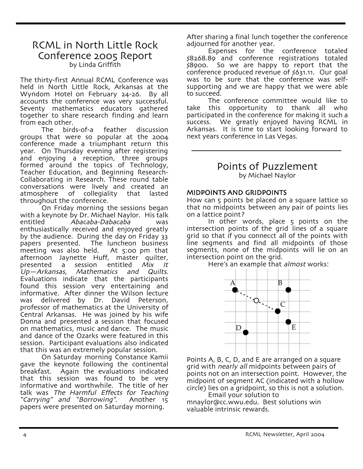## RCML in North Little Rock Conference 2005 Report by Linda Griffith

The thirty-first Annual RCML Conference was held in North Little Rock, Arkansas at the Wyndom Hotel on February 24-26. By all accounts the conference was very successful. Seventy mathematics educators gathered together to share research finding and learn from each other.

The birds-of-a feather discussion groups that were so popular at the 2004 conference made a triumphant return this year. On Thursday evening after registering and enjoying a reception, three groups formed around the topics of Technology, Teacher Education, and Beginning Research-Collaborating in Research. These round table conversations were lively and created an atmosphere of collegiality that lasted throughout the conference.

On Friday morning the sessions began with a keynote by Dr. Michael Naylor. His talk entitled *Abacaba-Dabacaba* enthusiastically received and enjoyed greatly by the audience. During the day on Friday 33 papers presented. The luncheon business meeting was also held. At 5:00 pm that afternoon Jaynette Huff, master quilter,<br>presented a session entitled Mix It<br>Up—Arkansas, Mathematics and Quilts. Up—Arkansas, Mathematics and Quilts. Evaluations indicate that the participants found this session very entertaining and informative. After dinner the Wilson lecture<br>was delivered by Dr. David Peterson. professor of mathematics at the University of Central Arkansas. He was joined by his wife Donna and presented a session that focused on mathematics, music and dance. The music and dance of the Ozarks were featured in this session. Participant evaluations also indicated

that this was an extremely popular session. On Saturday morning Constance Kamii gave the keynote following the continental breakfast. Again the evaluations indicated that this session was found to be very informative and worthwhile. The title of her talk was The Harmful Effects for Teaching<br>"Carrving" and "Borrowing". Another 15 "Carrying" and "Borrowing". papers were presented on Saturday morning.

After sharing a final lunch together the conference adjourned for another year.

Expenses for the conference totaled \$8268.89 and conference registrations totaled \$8900. So we are happy to report that the conference produced revenue of \$631.11. Our goal was to be sure that the conference was selfsupporting and we are happy that we were able to succeed.

The conference committee would like to take this opportunity to thank all who participated in the conference for making it such a success. We greatly enjoyed having RCML in Arkansas. It is time to start looking forward to next years conference in Las Vegas.

#### Points of Puzzlement by Michael Naylor

#### MIDPOINTS AND GRIDPOINTS

How can 5 points be placed on a square lattice so that no midpoints between any pair of points lies on a lattice point?

In other words, place 5 points on the intersection points of the grid lines of a square grid so that if you connecct all of the points with line segments and find all midpoints of those segments, none of the midpoints will lie on an intersection point on the grid.

Here's an example that almost works:



Points A, B, C, D, and E are arranged on a square grid with *nearly all* midpoints between pairs of points not on an intersection point. However, the midpoint of segment AC (indicated with a hollow circle) lies on a gridpoint, so this is not a solution. Email your solution to

mnaylor@cc.wwu.edu. Best solutions win valuable intrinsic rewards.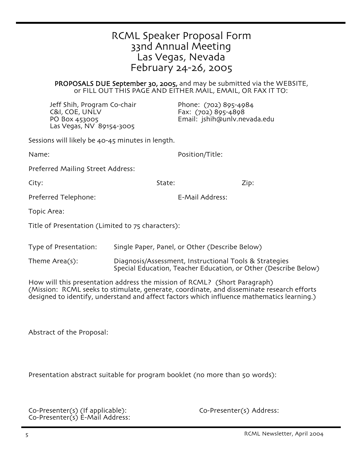| RCML Speaker Proposal Form |
|----------------------------|
| 33nd Annual Meeting        |
| Las Vegas, Nevada          |
| February 24-26, 2005       |

PROPOSALS DUE September 30, 2005, and may be submitted via the WEBSITE, or FILL OUT THIS PAGE AND EITHER MAIL, EMAIL, OR FAX IT TO:

Jeff Shih, Program Co-chair Phone: (702) 895-4984 C&I, COE, UNLV Fax: (702) 895-4898 Las Vegas, NV 89154-3005

Email: jshih@unlv.nevada.edu

Sessions will likely be 40-45 minutes in length.

Name: Position/Title:

Preferred Mailing Street Address:

City: State: Zip:

Preferred Telephone: E-Mail Address:

Topic Area:

Title of Presentation (Limited to 75 characters):

Type of Presentation: Single Paper, Panel, or Other (Describe Below)

Theme Area(s): Diagnosis/Assessment, Instructional Tools & Strategies<br>Special Education, Teacher Education, or Other (Describe Below)

How will this presentation address the mission of RCML? (Short Paragraph) (Mission: RCML seeks to stimulate, generate, coordinate, and disseminate research efforts designed to identify, understand and affect factors which influence mathematics learning.)

Abstract of the Proposal:

Presentation abstract suitable for program booklet (no more than 50 words):

Co-Presenter(s) (If applicable): Co-Presenter(s) Address: Co-Presenter(s) E-Mail Address: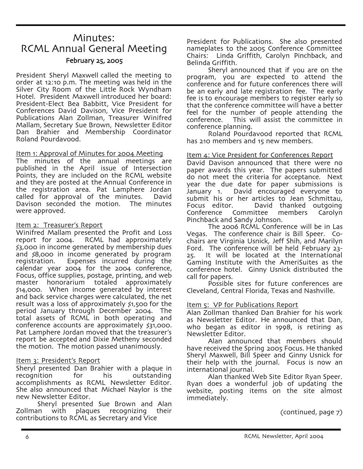# Minutes: RCML Annual General Meeting February 25, 2005

President Sheryl Maxwell called the meeting to order at 12:10 p.m. The meeting was held in the Silver City Room of the Little Rock Wyndham Hotel. President Maxwell introduced her board: President-Elect Bea Babbitt, Vice President for Conferences David Davison, Vice President for Publications Alan Zollman, Treasurer Winifred Mallam, Secretary Sue Brown, Newsletter Editor Dan Brahier and Membership Coordinator Roland Pourdavood.

#### Item 1: Approval of Minutes for 2004 Meeting

The minutes of the annual meetings are published in the April issue of Intersection Points, they are included on the RCML website and they are posted at the Annual Conference in the registration area. Pat Lamphere Jordan called for approval of the minutes. David Davison seconded the motion. The minutes were approved.

#### Item 2: Treasurer's Report

Winifred Mallam presented the Profit and Loss report for 2004. RCML had approximately \$3,000 in income generated by membership dues and \$8,000 in income generated by program registration. Expenses incurred during the<br>calendar year 2004 for the 2004 conference, Focus, office supplies, postage, printing, and web<br>master honorarium totaled approximately totaled approximately \$14,000. When income generated by interest and back service charges were calculated, the net result was a loss of approximately \$1,500 for the period January through December 2004. The total assets of RCML in both operating and conference accounts are approximately \$31,000. Pat Lamphere Jordan moved that the treasurer's report be accepted and Dixie Metheny seconded the motion. The motion passed unanimously.

#### Item 3: President's Report

Sheryl presented Dan Brahier with a plaque in recognition for his outstanding<br>accomplishments as RCML Newsletter Editor. She also announced that Michael Naylor is the new Newsletter Editor.

Sheryl presented Sue Brown and Alan Zollman with plaques recognizing their contributions to RCML as Secretary and Vice

President for Publications. She also presented nameplates to the 2005 Conference Committee Chairs: Linda Griffith, Carolyn Pinchback, and

Sheryl announced that if you are on the program, you are expected to attend the conference and for future conferences there will be an early and late registration fee. The early fee is to encourage members to register early so that the conference committee will have a better feel for the number of people attending the conference. This will assist the committee in

Roland Pourdavood reported that RCML has 210 members and 15 new members.

#### Item 4: Vice President for Conferences Report

David Davison announced that there were no paper awards this year. The papers submitted do not meet the criteria for acceptance. Next year the due date for paper submissions is January 1. David encouraged everyone to submit his or her articles to Jean Schmittau,<br>Focus editor. David thanked outgoing Focus editor. David thanked outgoing Committee members Carolyn Pinchback and Sandy Johnson.

The 2006 RCML Conference will be in Las Vegas. The conference chair is Bill Speer. Cochairs are Virginia Usnick, Jeff Shih, and Marilyn Ford. The conference will be held February 23- 25. It will be located at the International Gaming Institute with the AmeriSuites as the conference hotel. Ginny Usnick distributed the call for papers.

Possible sites for future conferences are Cleveland, Central Florida, Texas and Nashville.

#### Item 5: VP for Publications Report

Alan Zollman thanked Dan Brahier for his work as Newsletter Editor. He announced that Dan, who began as editor in 1998, is retiring as

Alan announced that members should have received the Spring 2005 Focus. He thanked Sheryl Maxwell, Bill Speer and Ginny Usnick for their help with the journal. Focus is now an international journal.

Alan thanked Web Site Editor Ryan Speer. Ryan does a wonderful job of updating the website, posting items on the site almost immediately.

(continued, page 7)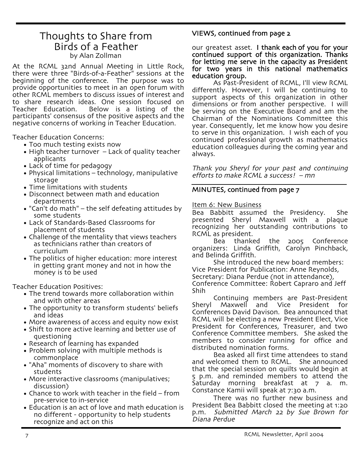# Thoughts to Share from Birds of a Feather by Alan Zollman

At the RCML 32nd Annual Meeting in Little Rock, there were three "Birds-of-a-Feather" sessions at the beginning of the conference. The purpose was to provide opportunities to meet in an open forum with other RCML members to discuss issues of interest and to share research ideas. One session focused on Below is a listing of the participants' consensus of the positive aspects and the negative concerns of working in Teacher Education.

Teacher Education Concerns:

- Too much testing exists now
- High teacher turnover Lack of quality teacher applicants
- Lack of time for pedagogy
- Physical limitations technology, manipulative storage
- Time limitations with students
- Disconnect between math and education departments
- "Can't do math" the self defeating attitudes by some students
- Lack of Standards-Based Classrooms for placement of students
- Challenge of the mentality that views teachers as technicians rather than creators of curriculum
- The politics of higher education: more interest in getting grant money and not in how the money is to be used

Teacher Education Positives:

- The trend towards more collaboration within and with other areas
- The opportunity to transform students' beliefs and ideas
- More awareness of access and equity now exist
- Shift to more active learning and better use of questioning
- Research of learning has expanded
- Problem solving with multiple methods is commonplace
- "Aha" moments of discovery to share with students
- More interactive classrooms (manipulatives; discussion)
- Chance to work with teacher in the field from pre-service to in-service
- Education is an act of love and math education is no different - opportunity to help students recognize and act on this

#### VIEWS, continued from page 2

our greatest asset. I thank each of you for your continued support of this organization. Thanks for letting me serve in the capacity as President for two years in this national mathematics education group.

As Past-President of RCML, I'll view RCML differently. However, I will be continuing to support aspects of this organization in other dimensions or from another perspective. I will be serving on the Executive Board and am the Chairman of the Nominations Committee this year. Consequently, let me know how you desire to serve in this organization. I wish each of you continued professional growth as mathematics education colleagues during the coming year and always.

Thank you Sheryl for your past and continuing efforts to make RCML a success! – mn

#### MINUTES, continued from page 7

#### Item 6: New Business

Bea Babbitt assumed the Presidency. She presented Sheryl Maxwell with a plaque recognizing her outstanding contributions to RCML as president.<br>Bea thanked

Bea thanked the 2005 Conference organizers: Linda Griffith, Carolyn Pinchback, and Belinda Griffith.

She introduced the new board members: Vice President for Publication: Anne Reynolds, Secretary: Diana Perdue (not in attendance), Conference Committee: Robert Capraro and Jeff

Shih

Continuing members are Past-President Sheryl Maxwell and Vice President for Conferences David Davison. Bea announced that RCML will be electing a new President Elect, Vice President for Conferences, Treasurer, and two Conference Committee members. She asked the members to consider running for office and distributed nomination forms.

Bea asked all first time attendees to stand and welcomed them to RCML. She announced that the special session on quilts would begin at 5 p.m. and reminded members to attend the Saturday morning breakfast at 7 a. m. Constance Kamii will speak at 7:30 a.m.

There was no further new business and President Bea Babbitt closed the meeting at 1:20 p.m. Submitted March <sup>22</sup> by Sue Brown for Diana Perdue